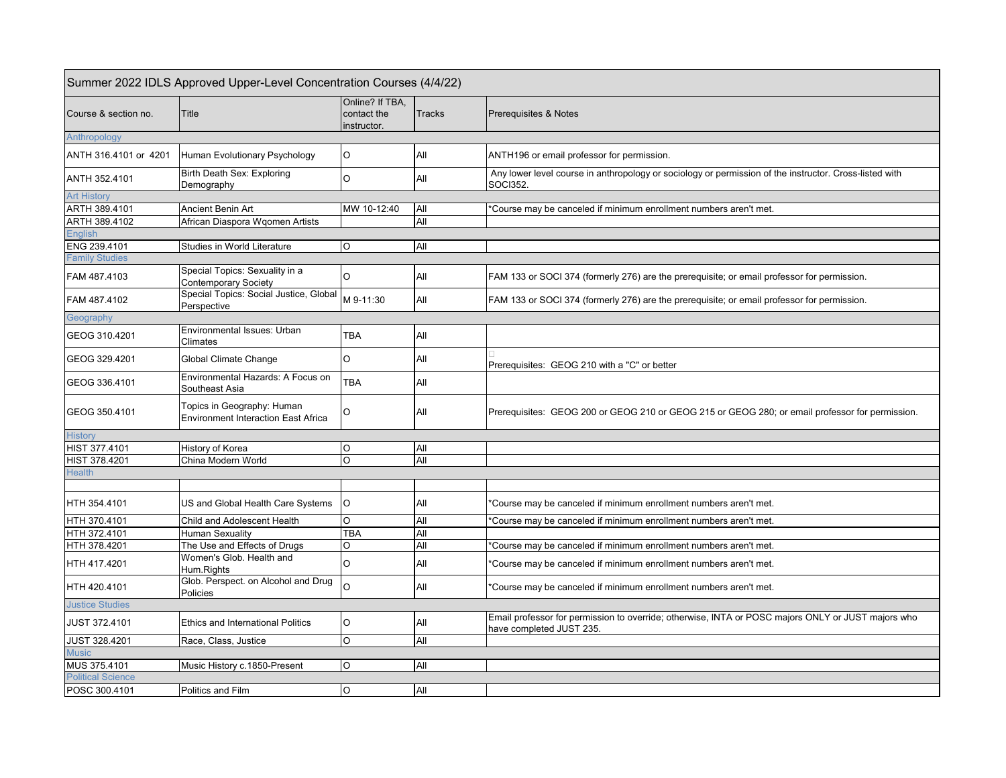| Summer 2022 IDLS Approved Upper-Level Concentration Courses (4/4/22) |                                                                          |                                               |               |                                                                                                                                |  |  |  |
|----------------------------------------------------------------------|--------------------------------------------------------------------------|-----------------------------------------------|---------------|--------------------------------------------------------------------------------------------------------------------------------|--|--|--|
| Course & section no.                                                 | Title                                                                    | Online? If TBA,<br>contact the<br>instructor. | <b>Tracks</b> | <b>Prerequisites &amp; Notes</b>                                                                                               |  |  |  |
| Anthropology                                                         |                                                                          |                                               |               |                                                                                                                                |  |  |  |
| ANTH 316.4101 or 4201                                                | Human Evolutionary Psychology                                            | O                                             | All           | ANTH196 or email professor for permission.                                                                                     |  |  |  |
| ANTH 352.4101                                                        | Birth Death Sex: Exploring<br>Demography                                 | $\Omega$                                      | All           | Any lower level course in anthropology or sociology or permission of the instructor. Cross-listed with<br><b>SOCI352.</b>      |  |  |  |
| <b>Art History</b>                                                   |                                                                          |                                               |               |                                                                                                                                |  |  |  |
| ARTH 389.4101                                                        | Ancient Benin Art                                                        | MW 10-12:40                                   | All           | *Course may be canceled if minimum enrollment numbers aren't met.                                                              |  |  |  |
| ARTH 389.4102                                                        | African Diaspora Wgomen Artists                                          |                                               | All           |                                                                                                                                |  |  |  |
| <b>English</b>                                                       |                                                                          |                                               |               |                                                                                                                                |  |  |  |
| ENG 239.4101                                                         | Studies in World Literature                                              | O                                             | All           |                                                                                                                                |  |  |  |
| <b>Family Studies</b>                                                |                                                                          |                                               |               |                                                                                                                                |  |  |  |
| FAM 487.4103                                                         | Special Topics: Sexuality in a<br><b>Contemporary Society</b>            | $\circ$                                       | All           | FAM 133 or SOCI 374 (formerly 276) are the prerequisite; or email professor for permission.                                    |  |  |  |
| FAM 487.4102                                                         | Special Topics: Social Justice, Global<br>Perspective                    | M 9-11:30                                     | All           | FAM 133 or SOCI 374 (formerly 276) are the prerequisite; or email professor for permission.                                    |  |  |  |
| Geography                                                            |                                                                          |                                               |               |                                                                                                                                |  |  |  |
| GEOG 310.4201                                                        | Environmental Issues: Urban<br>Climates                                  | TBA                                           | All           |                                                                                                                                |  |  |  |
| GEOG 329.4201                                                        | Global Climate Change                                                    | $\circ$                                       | All           | Prerequisites: GEOG 210 with a "C" or better                                                                                   |  |  |  |
| GEOG 336.4101                                                        | Environmental Hazards: A Focus on<br>Southeast Asia                      | TBA                                           | All           |                                                                                                                                |  |  |  |
| GEOG 350.4101                                                        | Topics in Geography: Human<br><b>Environment Interaction East Africa</b> | O                                             | All           | Prerequisites: GEOG 200 or GEOG 210 or GEOG 215 or GEOG 280; or email professor for permission.                                |  |  |  |
| History                                                              |                                                                          |                                               |               |                                                                                                                                |  |  |  |
| HIST 377.4101                                                        | History of Korea                                                         | O                                             | All           |                                                                                                                                |  |  |  |
| HIST 378.4201                                                        | China Modern World                                                       | $\overline{O}$                                | All           |                                                                                                                                |  |  |  |
| <b>Health</b>                                                        |                                                                          |                                               |               |                                                                                                                                |  |  |  |
|                                                                      |                                                                          |                                               |               |                                                                                                                                |  |  |  |
| HTH 354.4101                                                         | US and Global Health Care Systems                                        | O                                             | All           | 'Course may be canceled if minimum enrollment numbers aren't met.                                                              |  |  |  |
| HTH 370.4101                                                         | Child and Adolescent Health                                              | O                                             | All           | *Course may be canceled if minimum enrollment numbers aren't met.                                                              |  |  |  |
| HTH 372.4101                                                         | Human Sexuality                                                          | TBA                                           | All           |                                                                                                                                |  |  |  |
| HTH 378.4201                                                         | The Use and Effects of Drugs                                             | O                                             | All           | *Course may be canceled if minimum enrollment numbers aren't met.                                                              |  |  |  |
| HTH 417.4201                                                         | Women's Glob. Health and<br>Hum.Rights                                   | O                                             | All           | 'Course may be canceled if minimum enrollment numbers aren't met.                                                              |  |  |  |
| HTH 420.4101                                                         | Glob. Perspect. on Alcohol and Drug<br>Policies                          | $\Omega$                                      | All           | 'Course may be canceled if minimum enrollment numbers aren't met.                                                              |  |  |  |
| <b>Justice Studies</b>                                               |                                                                          |                                               |               |                                                                                                                                |  |  |  |
| JUST 372.4101                                                        | <b>Ethics and International Politics</b>                                 | O                                             | All           | Email professor for permission to override; otherwise, INTA or POSC majors ONLY or JUST majors who<br>have completed JUST 235. |  |  |  |
| JUST 328.4201                                                        | Race, Class, Justice                                                     | O                                             | All           |                                                                                                                                |  |  |  |
| <b>Music</b>                                                         |                                                                          |                                               |               |                                                                                                                                |  |  |  |
| MUS 375.4101                                                         | Music History c.1850-Present                                             | O                                             | All           |                                                                                                                                |  |  |  |
| <b>Political Science</b>                                             |                                                                          |                                               |               |                                                                                                                                |  |  |  |
| POSC 300.4101                                                        | Politics and Film                                                        | O                                             | All           |                                                                                                                                |  |  |  |